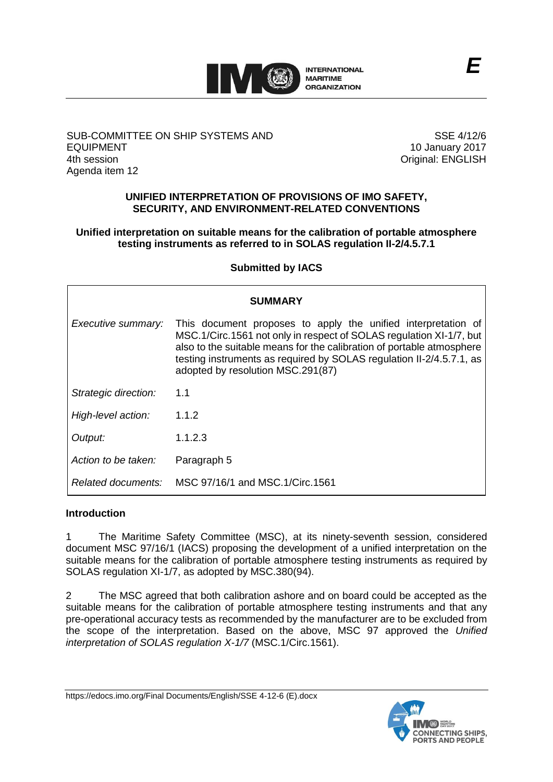

## SUB-COMMITTEE ON SHIP SYSTEMS AND EQUIPMENT 4th session Agenda item 12

SSE 4/12/6 10 January 2017 Original: ENGLISH

# **UNIFIED INTERPRETATION OF PROVISIONS OF IMO SAFETY, SECURITY, AND ENVIRONMENT-RELATED CONVENTIONS**

# **Unified interpretation on suitable means for the calibration of portable atmosphere testing instruments as referred to in SOLAS regulation II-2/4.5.7.1**

# **Submitted by IACS**

| <b>SUMMARY</b>       |                                                                                                                                                                                                                                                                                                                            |
|----------------------|----------------------------------------------------------------------------------------------------------------------------------------------------------------------------------------------------------------------------------------------------------------------------------------------------------------------------|
| Executive summary:   | This document proposes to apply the unified interpretation of<br>MSC.1/Circ.1561 not only in respect of SOLAS regulation XI-1/7, but<br>also to the suitable means for the calibration of portable atmosphere<br>testing instruments as required by SOLAS regulation II-2/4.5.7.1, as<br>adopted by resolution MSC.291(87) |
| Strategic direction: | 1.1                                                                                                                                                                                                                                                                                                                        |
| High-level action:   | 1.1.2                                                                                                                                                                                                                                                                                                                      |
| Output:              | 1.1.2.3                                                                                                                                                                                                                                                                                                                    |
| Action to be taken:  | Paragraph 5                                                                                                                                                                                                                                                                                                                |
| Related documents:   | MSC 97/16/1 and MSC 1/Circ 1561                                                                                                                                                                                                                                                                                            |

## **Introduction**

1 The Maritime Safety Committee (MSC), at its ninety-seventh session, considered document MSC 97/16/1 (IACS) proposing the development of a unified interpretation on the suitable means for the calibration of portable atmosphere testing instruments as required by SOLAS regulation XI-1/7, as adopted by MSC.380(94).

2 The MSC agreed that both calibration ashore and on board could be accepted as the suitable means for the calibration of portable atmosphere testing instruments and that any pre-operational accuracy tests as recommended by the manufacturer are to be excluded from the scope of the interpretation. Based on the above, MSC 97 approved the *Unified interpretation of SOLAS regulation X-1/7* (MSC.1/Circ.1561).

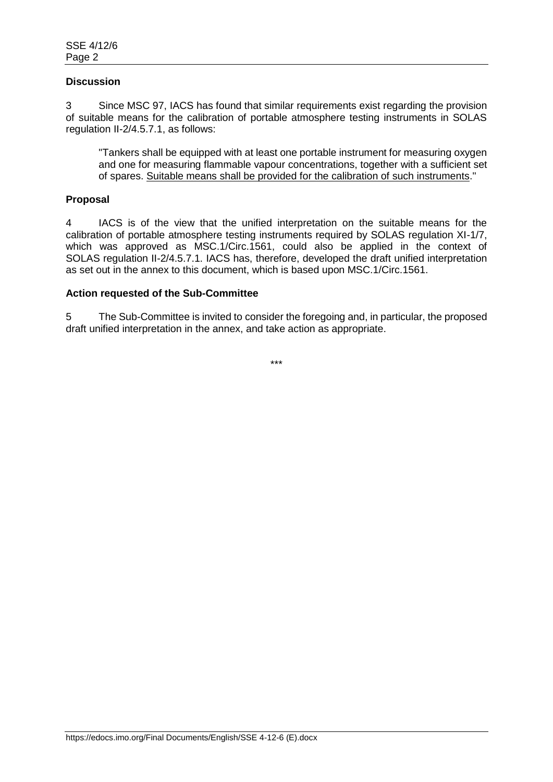### **Discussion**

3 Since MSC 97, IACS has found that similar requirements exist regarding the provision of suitable means for the calibration of portable atmosphere testing instruments in SOLAS regulation II-2/4.5.7.1, as follows:

"Tankers shall be equipped with at least one portable instrument for measuring oxygen and one for measuring flammable vapour concentrations, together with a sufficient set of spares. Suitable means shall be provided for the calibration of such instruments."

## **Proposal**

4 IACS is of the view that the unified interpretation on the suitable means for the calibration of portable atmosphere testing instruments required by SOLAS regulation XI-1/7, which was approved as MSC.1/Circ.1561, could also be applied in the context of SOLAS regulation II-2/4.5.7.1. IACS has, therefore, developed the draft unified interpretation as set out in the annex to this document, which is based upon MSC.1/Circ.1561.

#### **Action requested of the Sub-Committee**

5 The Sub-Committee is invited to consider the foregoing and, in particular, the proposed draft unified interpretation in the annex, and take action as appropriate.

\*\*\*